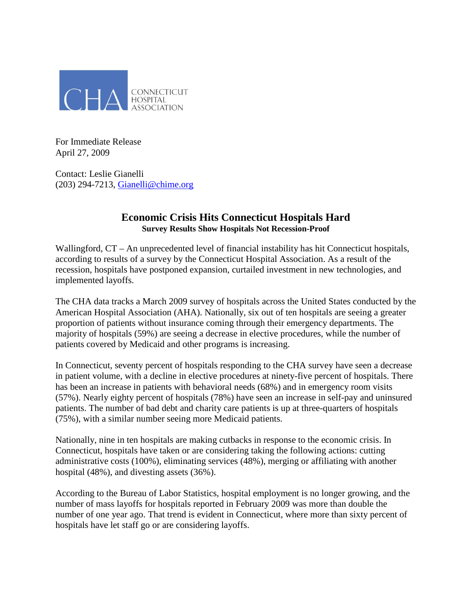

For Immediate Release April 27, 2009

Contact: Leslie Gianelli (203) 294-7213, [Gianelli@chime.org](mailto:Gianelli@chime.org)

## **Economic Crisis Hits Connecticut Hospitals Hard Survey Results Show Hospitals Not Recession-Proof**

Wallingford, CT – An unprecedented level of financial instability has hit Connecticut hospitals, according to results of a survey by the Connecticut Hospital Association. As a result of the recession, hospitals have postponed expansion, curtailed investment in new technologies, and implemented layoffs.

The CHA data tracks a March 2009 survey of hospitals across the United States conducted by the American Hospital Association (AHA). Nationally, six out of ten hospitals are seeing a greater proportion of patients without insurance coming through their emergency departments. The majority of hospitals (59%) are seeing a decrease in elective procedures, while the number of patients covered by Medicaid and other programs is increasing.

In Connecticut, seventy percent of hospitals responding to the CHA survey have seen a decrease in patient volume, with a decline in elective procedures at ninety-five percent of hospitals. There has been an increase in patients with behavioral needs (68%) and in emergency room visits (57%). Nearly eighty percent of hospitals (78%) have seen an increase in self-pay and uninsured patients. The number of bad debt and charity care patients is up at three-quarters of hospitals (75%), with a similar number seeing more Medicaid patients.

Nationally, nine in ten hospitals are making cutbacks in response to the economic crisis. In Connecticut, hospitals have taken or are considering taking the following actions: cutting administrative costs (100%), eliminating services (48%), merging or affiliating with another hospital (48%), and divesting assets (36%).

According to the Bureau of Labor Statistics, hospital employment is no longer growing, and the number of mass layoffs for hospitals reported in February 2009 was more than double the number of one year ago. That trend is evident in Connecticut, where more than sixty percent of hospitals have let staff go or are considering layoffs.